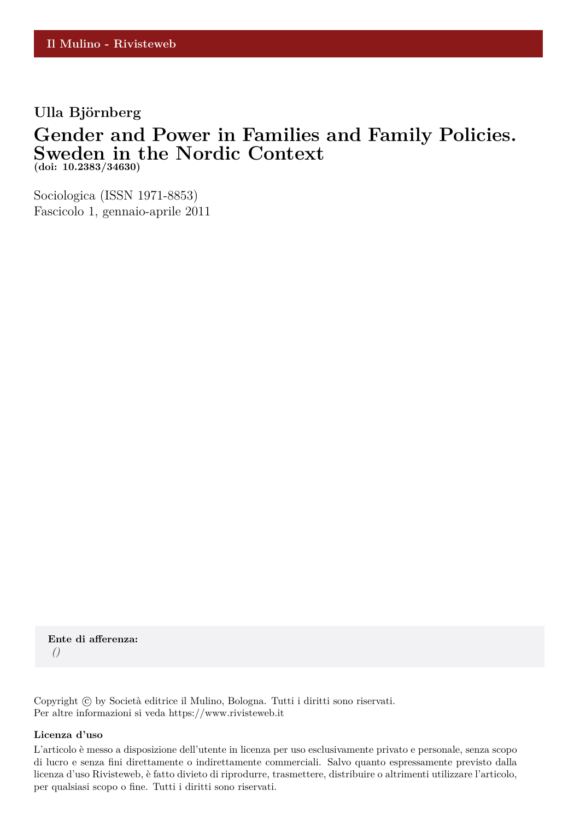## **Ulla Björnberg**

## **Gender and Power in Families and Family Policies. Sweden in the Nordic Context (doi: 10.2383/34630)**

Sociologica (ISSN 1971-8853) Fascicolo 1, gennaio-aprile 2011

**Ente di afferenza:** *()*

Copyright © by Società editrice il Mulino, Bologna. Tutti i diritti sono riservati. Per altre informazioni si veda https://www.rivisteweb.it

#### **Licenza d'uso**

L'articolo è messo a disposizione dell'utente in licenza per uso esclusivamente privato e personale, senza scopo di lucro e senza fini direttamente o indirettamente commerciali. Salvo quanto espressamente previsto dalla licenza d'uso Rivisteweb, è fatto divieto di riprodurre, trasmettere, distribuire o altrimenti utilizzare l'articolo, per qualsiasi scopo o fine. Tutti i diritti sono riservati.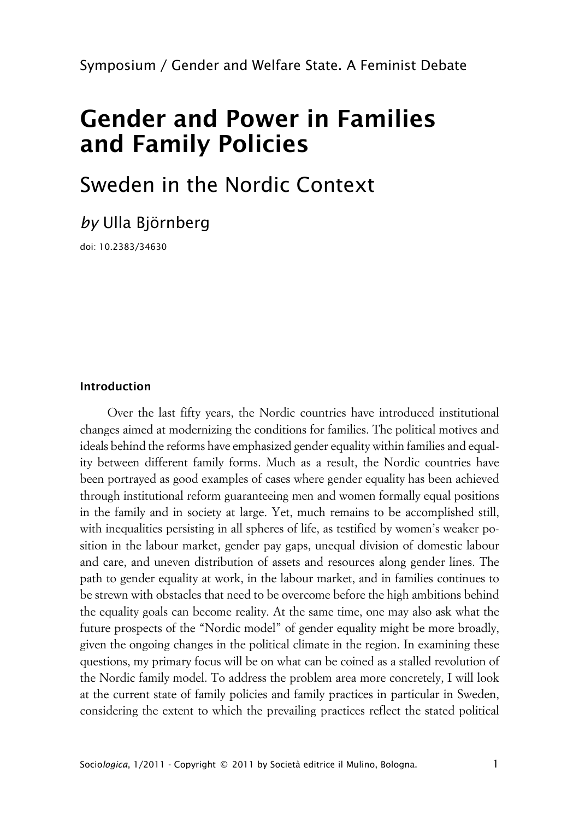Symposium / Gender and Welfare State. A Feminist Debate

# **Gender and Power in Families and Family Policies**

# Sweden in the Nordic Context

*by* Ulla Björnberg

doi: 10.2383/34630

### **Introduction**

Over the last fifty years, the Nordic countries have introduced institutional changes aimed at modernizing the conditions for families. The political motives and ideals behind the reforms have emphasized gender equality within families and equality between different family forms. Much as a result, the Nordic countries have been portrayed as good examples of cases where gender equality has been achieved through institutional reform guaranteeing men and women formally equal positions in the family and in society at large. Yet, much remains to be accomplished still, with inequalities persisting in all spheres of life, as testified by women's weaker position in the labour market, gender pay gaps, unequal division of domestic labour and care, and uneven distribution of assets and resources along gender lines. The path to gender equality at work, in the labour market, and in families continues to be strewn with obstacles that need to be overcome before the high ambitions behind the equality goals can become reality. At the same time, one may also ask what the future prospects of the "Nordic model" of gender equality might be more broadly, given the ongoing changes in the political climate in the region. In examining these questions, my primary focus will be on what can be coined as a stalled revolution of the Nordic family model. To address the problem area more concretely, I will look at the current state of family policies and family practices in particular in Sweden, considering the extent to which the prevailing practices reflect the stated political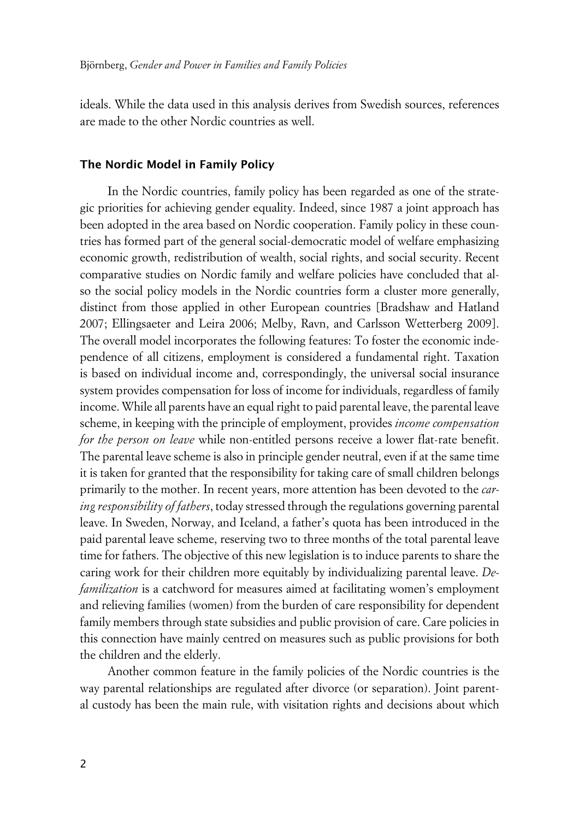ideals. While the data used in this analysis derives from Swedish sources, references are made to the other Nordic countries as well.

#### **xThe Nordic Model in Family Policy**

In the Nordic countries, family policy has been regarded as one of the strategic priorities for achieving gender equality. Indeed, since 1987 a joint approach has been adopted in the area based on Nordic cooperation. Family policy in these countries has formed part of the general social-democratic model of welfare emphasizing economic growth, redistribution of wealth, social rights, and social security. Recent comparative studies on Nordic family and welfare policies have concluded that also the social policy models in the Nordic countries form a cluster more generally, distinct from those applied in other European countries [Bradshaw and Hatland 2007; Ellingsaeter and Leira 2006; Melby, Ravn, and Carlsson Wetterberg 2009]. The overall model incorporates the following features: To foster the economic independence of all citizens, employment is considered a fundamental right. Taxation is based on individual income and, correspondingly, the universal social insurance system provides compensation for loss of income for individuals, regardless of family income. While all parents have an equal right to paid parental leave, the parental leave scheme, in keeping with the principle of employment, provides *income compensation for the person on leave* while non-entitled persons receive a lower flat-rate benefit. The parental leave scheme is also in principle gender neutral, even if at the same time it is taken for granted that the responsibility for taking care of small children belongs primarily to the mother. In recent years, more attention has been devoted to the *caring responsibility of fathers*, today stressed through the regulations governing parental leave. In Sweden, Norway, and Iceland, a father's quota has been introduced in the paid parental leave scheme, reserving two to three months of the total parental leave time for fathers. The objective of this new legislation is to induce parents to share the caring work for their children more equitably by individualizing parental leave. *Defamilization* is a catchword for measures aimed at facilitating women's employment and relieving families (women) from the burden of care responsibility for dependent family members through state subsidies and public provision of care. Care policies in this connection have mainly centred on measures such as public provisions for both the children and the elderly.

Another common feature in the family policies of the Nordic countries is the way parental relationships are regulated after divorce (or separation). Joint parental custody has been the main rule, with visitation rights and decisions about which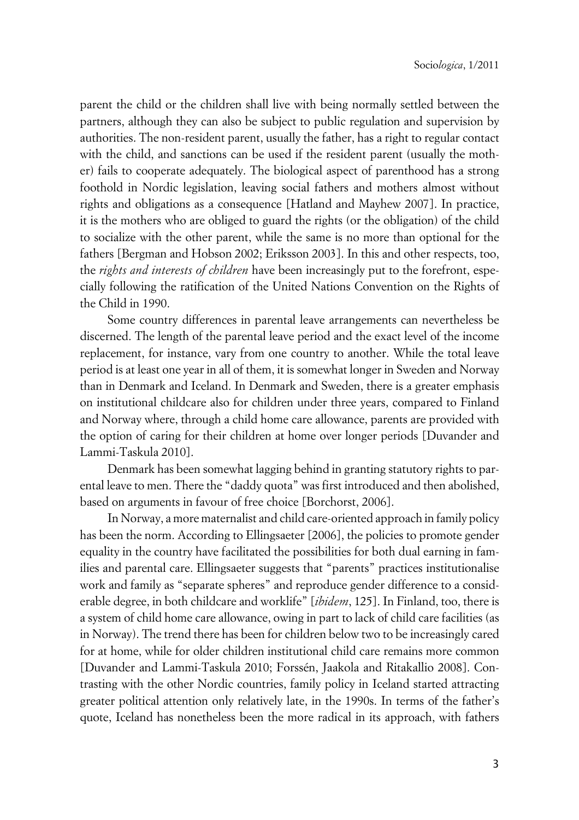parent the child or the children shall live with being normally settled between the partners, although they can also be subject to public regulation and supervision by authorities. The non-resident parent, usually the father, has a right to regular contact with the child, and sanctions can be used if the resident parent (usually the mother) fails to cooperate adequately. The biological aspect of parenthood has a strong foothold in Nordic legislation, leaving social fathers and mothers almost without rights and obligations as a consequence [Hatland and Mayhew 2007]. In practice, it is the mothers who are obliged to guard the rights (or the obligation) of the child to socialize with the other parent, while the same is no more than optional for the fathers [Bergman and Hobson 2002; Eriksson 2003]. In this and other respects, too, the *rights and interests of children* have been increasingly put to the forefront, especially following the ratification of the United Nations Convention on the Rights of the Child in 1990.

Some country differences in parental leave arrangements can nevertheless be discerned. The length of the parental leave period and the exact level of the income replacement, for instance, vary from one country to another. While the total leave period is at least one year in all of them, it is somewhat longer in Sweden and Norway than in Denmark and Iceland. In Denmark and Sweden, there is a greater emphasis on institutional childcare also for children under three years, compared to Finland and Norway where, through a child home care allowance, parents are provided with the option of caring for their children at home over longer periods [Duvander and Lammi-Taskula 2010].

Denmark has been somewhat lagging behind in granting statutory rights to parental leave to men. There the "daddy quota" was first introduced and then abolished, based on arguments in favour of free choice [Borchorst, 2006].

In Norway, a more maternalist and child care-oriented approach in family policy has been the norm. According to Ellingsaeter [2006], the policies to promote gender equality in the country have facilitated the possibilities for both dual earning in families and parental care. Ellingsaeter suggests that "parents" practices institutionalise work and family as "separate spheres" and reproduce gender difference to a considerable degree, in both childcare and worklife" [*ibidem*, 125]. In Finland, too, there is a system of child home care allowance, owing in part to lack of child care facilities (as in Norway). The trend there has been for children below two to be increasingly cared for at home, while for older children institutional child care remains more common [Duvander and Lammi-Taskula 2010; Forssén, Jaakola and Ritakallio 2008]. Contrasting with the other Nordic countries, family policy in Iceland started attracting greater political attention only relatively late, in the 1990s. In terms of the father's quote, Iceland has nonetheless been the more radical in its approach, with fathers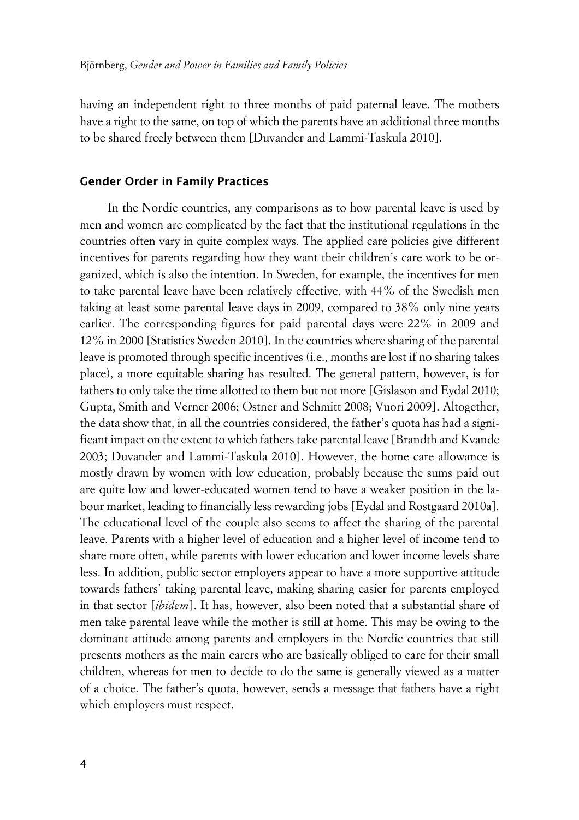having an independent right to three months of paid paternal leave. The mothers have a right to the same, on top of which the parents have an additional three months to be shared freely between them [Duvander and Lammi-Taskula 2010].

#### **xGender Order in Family Practices**

In the Nordic countries, any comparisons as to how parental leave is used by men and women are complicated by the fact that the institutional regulations in the countries often vary in quite complex ways. The applied care policies give different incentives for parents regarding how they want their children's care work to be organized, which is also the intention. In Sweden, for example, the incentives for men to take parental leave have been relatively effective, with 44% of the Swedish men taking at least some parental leave days in 2009, compared to 38% only nine years earlier. The corresponding figures for paid parental days were 22% in 2009 and 12% in 2000 [Statistics Sweden 2010]. In the countries where sharing of the parental leave is promoted through specific incentives (i.e., months are lost if no sharing takes place), a more equitable sharing has resulted. The general pattern, however, is for fathers to only take the time allotted to them but not more [Gislason and Eydal 2010; Gupta, Smith and Verner 2006; Ostner and Schmitt 2008; Vuori 2009]. Altogether, the data show that, in all the countries considered, the father's quota has had a significant impact on the extent to which fathers take parental leave [Brandth and Kvande 2003; Duvander and Lammi-Taskula 2010]. However, the home care allowance is mostly drawn by women with low education, probably because the sums paid out are quite low and lower-educated women tend to have a weaker position in the labour market, leading to financially less rewarding jobs [Eydal and Rostgaard 2010a]. The educational level of the couple also seems to affect the sharing of the parental leave. Parents with a higher level of education and a higher level of income tend to share more often, while parents with lower education and lower income levels share less. In addition, public sector employers appear to have a more supportive attitude towards fathers' taking parental leave, making sharing easier for parents employed in that sector [*ibidem*]. It has, however, also been noted that a substantial share of men take parental leave while the mother is still at home. This may be owing to the dominant attitude among parents and employers in the Nordic countries that still presents mothers as the main carers who are basically obliged to care for their small children, whereas for men to decide to do the same is generally viewed as a matter of a choice. The father's quota, however, sends a message that fathers have a right which employers must respect.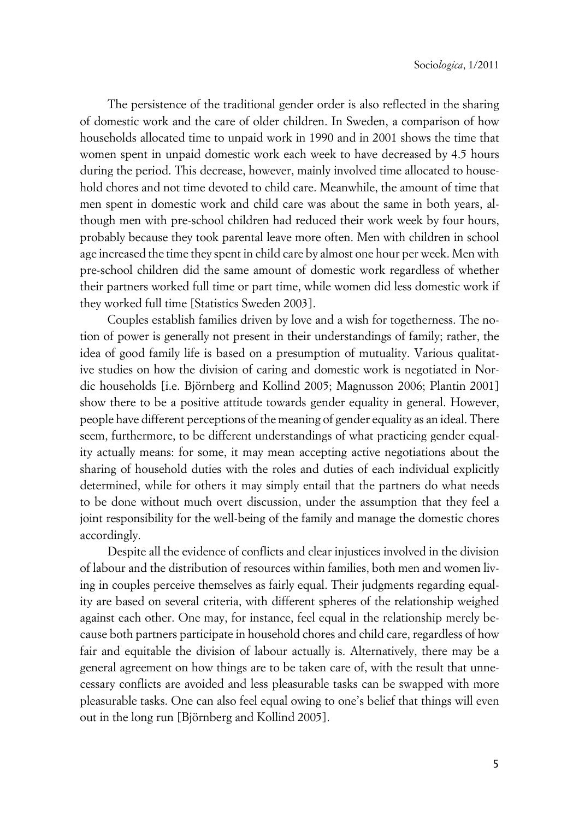The persistence of the traditional gender order is also reflected in the sharing of domestic work and the care of older children. In Sweden, a comparison of how households allocated time to unpaid work in 1990 and in 2001 shows the time that women spent in unpaid domestic work each week to have decreased by 4.5 hours during the period. This decrease, however, mainly involved time allocated to household chores and not time devoted to child care. Meanwhile, the amount of time that men spent in domestic work and child care was about the same in both years, although men with pre-school children had reduced their work week by four hours, probably because they took parental leave more often. Men with children in school age increased the time they spent in child care by almost one hour per week. Men with pre-school children did the same amount of domestic work regardless of whether their partners worked full time or part time, while women did less domestic work if they worked full time [Statistics Sweden 2003].

Couples establish families driven by love and a wish for togetherness. The notion of power is generally not present in their understandings of family; rather, the idea of good family life is based on a presumption of mutuality. Various qualitative studies on how the division of caring and domestic work is negotiated in Nordic households [i.e. Björnberg and Kollind 2005; Magnusson 2006; Plantin 2001] show there to be a positive attitude towards gender equality in general. However, people have different perceptions of the meaning of gender equality as an ideal. There seem, furthermore, to be different understandings of what practicing gender equality actually means: for some, it may mean accepting active negotiations about the sharing of household duties with the roles and duties of each individual explicitly determined, while for others it may simply entail that the partners do what needs to be done without much overt discussion, under the assumption that they feel a joint responsibility for the well-being of the family and manage the domestic chores accordingly.

Despite all the evidence of conflicts and clear injustices involved in the division of labour and the distribution of resources within families, both men and women living in couples perceive themselves as fairly equal. Their judgments regarding equality are based on several criteria, with different spheres of the relationship weighed against each other. One may, for instance, feel equal in the relationship merely because both partners participate in household chores and child care, regardless of how fair and equitable the division of labour actually is. Alternatively, there may be a general agreement on how things are to be taken care of, with the result that unnecessary conflicts are avoided and less pleasurable tasks can be swapped with more pleasurable tasks. One can also feel equal owing to one's belief that things will even out in the long run [Björnberg and Kollind 2005].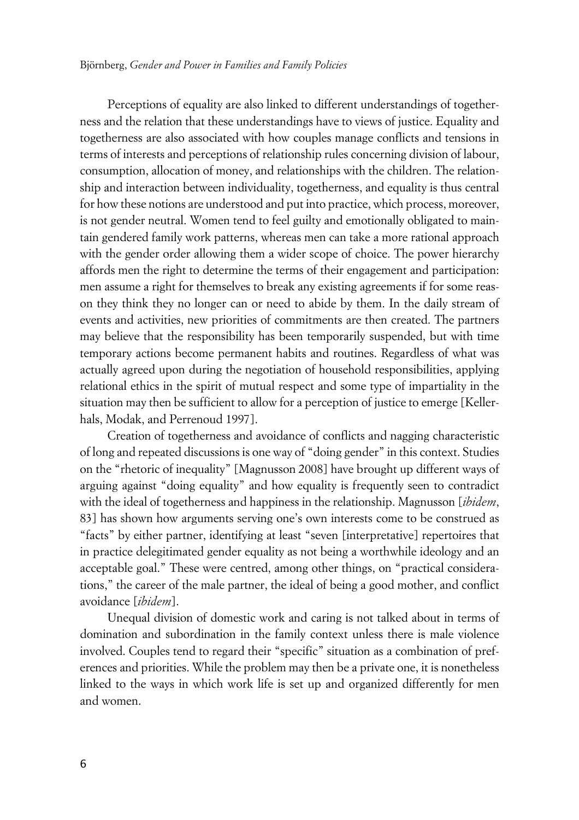Perceptions of equality are also linked to different understandings of togetherness and the relation that these understandings have to views of justice. Equality and togetherness are also associated with how couples manage conflicts and tensions in terms of interests and perceptions of relationship rules concerning division of labour, consumption, allocation of money, and relationships with the children. The relationship and interaction between individuality, togetherness, and equality is thus central for how these notions are understood and put into practice, which process, moreover, is not gender neutral. Women tend to feel guilty and emotionally obligated to maintain gendered family work patterns, whereas men can take a more rational approach with the gender order allowing them a wider scope of choice. The power hierarchy affords men the right to determine the terms of their engagement and participation: men assume a right for themselves to break any existing agreements if for some reason they think they no longer can or need to abide by them. In the daily stream of events and activities, new priorities of commitments are then created. The partners may believe that the responsibility has been temporarily suspended, but with time temporary actions become permanent habits and routines. Regardless of what was actually agreed upon during the negotiation of household responsibilities, applying relational ethics in the spirit of mutual respect and some type of impartiality in the situation may then be sufficient to allow for a perception of justice to emerge [Kellerhals, Modak, and Perrenoud 1997].

Creation of togetherness and avoidance of conflicts and nagging characteristic of long and repeated discussions is one way of "doing gender" in this context. Studies on the "rhetoric of inequality" [Magnusson 2008] have brought up different ways of arguing against "doing equality" and how equality is frequently seen to contradict with the ideal of togetherness and happiness in the relationship. Magnusson [*ibidem*, 83] has shown how arguments serving one's own interests come to be construed as "facts" by either partner, identifying at least "seven [interpretative] repertoires that in practice delegitimated gender equality as not being a worthwhile ideology and an acceptable goal." These were centred, among other things, on "practical considerations," the career of the male partner, the ideal of being a good mother, and conflict avoidance [*ibidem*].

Unequal division of domestic work and caring is not talked about in terms of domination and subordination in the family context unless there is male violence involved. Couples tend to regard their "specific" situation as a combination of preferences and priorities. While the problem may then be a private one, it is nonetheless linked to the ways in which work life is set up and organized differently for men and women.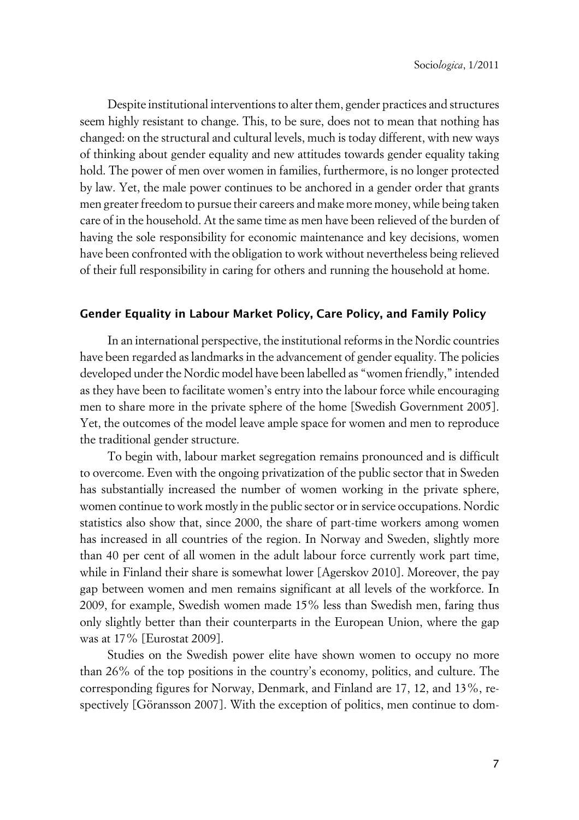Despite institutional interventions to alter them, gender practices and structures seem highly resistant to change. This, to be sure, does not to mean that nothing has changed: on the structural and cultural levels, much is today different, with new ways of thinking about gender equality and new attitudes towards gender equality taking hold. The power of men over women in families, furthermore, is no longer protected by law. Yet, the male power continues to be anchored in a gender order that grants men greater freedom to pursue their careers and make more money, while being taken care of in the household. At the same time as men have been relieved of the burden of having the sole responsibility for economic maintenance and key decisions, women have been confronted with the obligation to work without nevertheless being relieved of their full responsibility in caring for others and running the household at home.

### **xGender Equality in Labour Market Policy, Care Policy, and Family Policy**

In an international perspective, the institutional reforms in the Nordic countries have been regarded as landmarks in the advancement of gender equality. The policies developed under the Nordic model have been labelled as "women friendly," intended as they have been to facilitate women's entry into the labour force while encouraging men to share more in the private sphere of the home [Swedish Government 2005]. Yet, the outcomes of the model leave ample space for women and men to reproduce the traditional gender structure.

To begin with, labour market segregation remains pronounced and is difficult to overcome. Even with the ongoing privatization of the public sector that in Sweden has substantially increased the number of women working in the private sphere, women continue to work mostly in the public sector or in service occupations. Nordic statistics also show that, since 2000, the share of part-time workers among women has increased in all countries of the region. In Norway and Sweden, slightly more than 40 per cent of all women in the adult labour force currently work part time, while in Finland their share is somewhat lower [Agerskov 2010]. Moreover, the pay gap between women and men remains significant at all levels of the workforce. In 2009, for example, Swedish women made 15% less than Swedish men, faring thus only slightly better than their counterparts in the European Union, where the gap was at 17% [Eurostat 2009].

Studies on the Swedish power elite have shown women to occupy no more than 26% of the top positions in the country's economy, politics, and culture. The corresponding figures for Norway, Denmark, and Finland are 17, 12, and 13%, respectively [Göransson 2007]. With the exception of politics, men continue to dom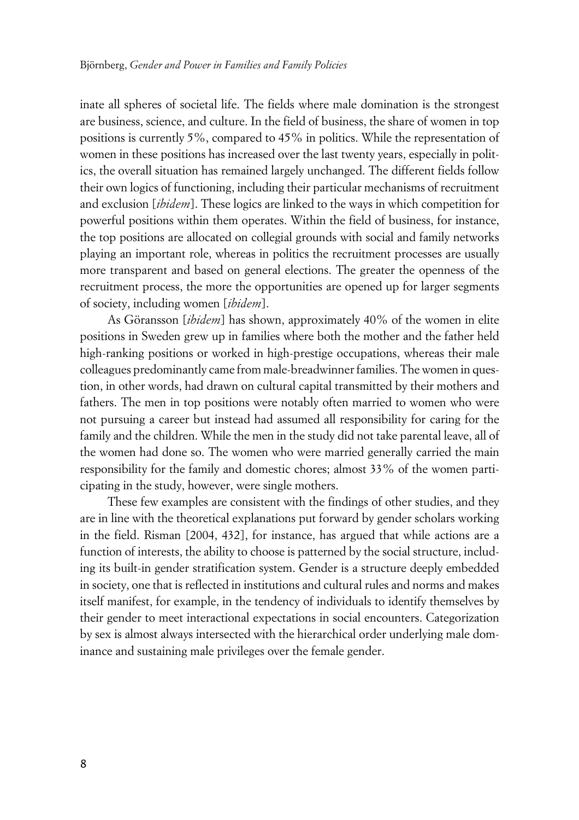inate all spheres of societal life. The fields where male domination is the strongest are business, science, and culture. In the field of business, the share of women in top positions is currently 5%, compared to 45% in politics. While the representation of women in these positions has increased over the last twenty years, especially in politics, the overall situation has remained largely unchanged. The different fields follow their own logics of functioning, including their particular mechanisms of recruitment and exclusion [*ibidem*]. These logics are linked to the ways in which competition for powerful positions within them operates. Within the field of business, for instance, the top positions are allocated on collegial grounds with social and family networks playing an important role, whereas in politics the recruitment processes are usually more transparent and based on general elections. The greater the openness of the recruitment process, the more the opportunities are opened up for larger segments of society, including women [*ibidem*].

As Göransson [*ibidem*] has shown, approximately 40% of the women in elite positions in Sweden grew up in families where both the mother and the father held high-ranking positions or worked in high-prestige occupations, whereas their male colleagues predominantly came from male-breadwinner families. The women in question, in other words, had drawn on cultural capital transmitted by their mothers and fathers. The men in top positions were notably often married to women who were not pursuing a career but instead had assumed all responsibility for caring for the family and the children. While the men in the study did not take parental leave, all of the women had done so. The women who were married generally carried the main responsibility for the family and domestic chores; almost 33% of the women participating in the study, however, were single mothers.

These few examples are consistent with the findings of other studies, and they are in line with the theoretical explanations put forward by gender scholars working in the field. Risman [2004, 432], for instance, has argued that while actions are a function of interests, the ability to choose is patterned by the social structure, including its built-in gender stratification system. Gender is a structure deeply embedded in society, one that is reflected in institutions and cultural rules and norms and makes itself manifest, for example, in the tendency of individuals to identify themselves by their gender to meet interactional expectations in social encounters. Categorization by sex is almost always intersected with the hierarchical order underlying male dominance and sustaining male privileges over the female gender.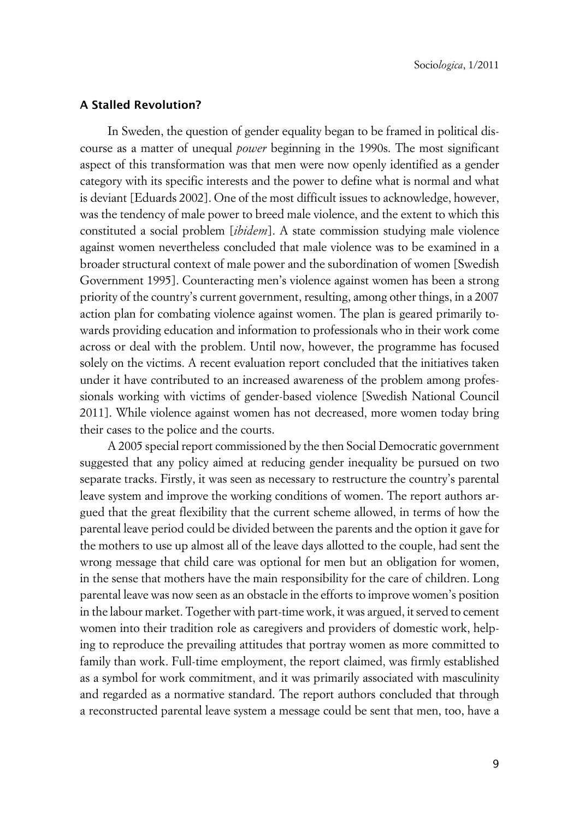### **xA Stalled Revolution?**

In Sweden, the question of gender equality began to be framed in political discourse as a matter of unequal *power* beginning in the 1990s. The most significant aspect of this transformation was that men were now openly identified as a gender category with its specific interests and the power to define what is normal and what is deviant [Eduards 2002]. One of the most difficult issues to acknowledge, however, was the tendency of male power to breed male violence, and the extent to which this constituted a social problem [*ibidem*]. A state commission studying male violence against women nevertheless concluded that male violence was to be examined in a broader structural context of male power and the subordination of women [Swedish Government 1995]. Counteracting men's violence against women has been a strong priority of the country's current government, resulting, among other things, in a 2007 action plan for combating violence against women. The plan is geared primarily towards providing education and information to professionals who in their work come across or deal with the problem. Until now, however, the programme has focused solely on the victims. A recent evaluation report concluded that the initiatives taken under it have contributed to an increased awareness of the problem among professionals working with victims of gender-based violence [Swedish National Council 2011]. While violence against women has not decreased, more women today bring their cases to the police and the courts.

A 2005 special report commissioned by the then Social Democratic government suggested that any policy aimed at reducing gender inequality be pursued on two separate tracks. Firstly, it was seen as necessary to restructure the country's parental leave system and improve the working conditions of women. The report authors argued that the great flexibility that the current scheme allowed, in terms of how the parental leave period could be divided between the parents and the option it gave for the mothers to use up almost all of the leave days allotted to the couple, had sent the wrong message that child care was optional for men but an obligation for women, in the sense that mothers have the main responsibility for the care of children. Long parental leave was now seen as an obstacle in the efforts to improve women's position in the labour market. Together with part-time work, it was argued, it served to cement women into their tradition role as caregivers and providers of domestic work, helping to reproduce the prevailing attitudes that portray women as more committed to family than work. Full-time employment, the report claimed, was firmly established as a symbol for work commitment, and it was primarily associated with masculinity and regarded as a normative standard. The report authors concluded that through a reconstructed parental leave system a message could be sent that men, too, have a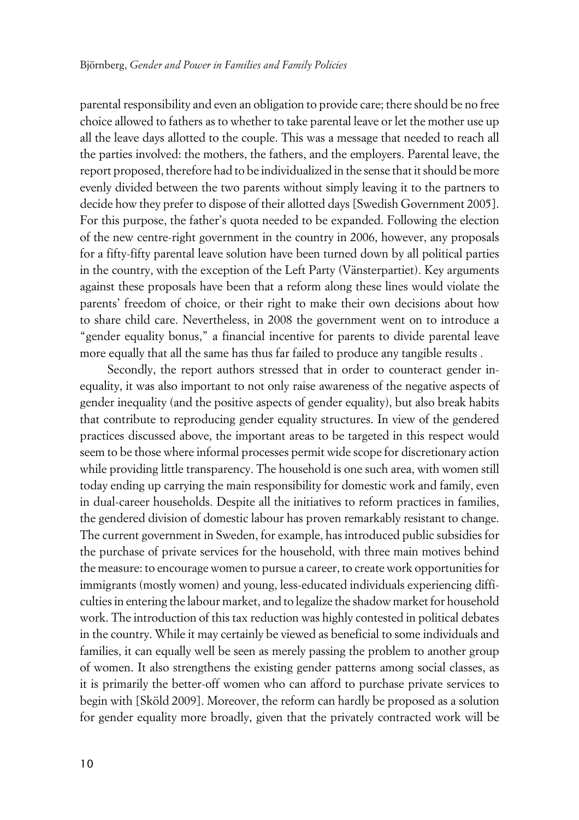parental responsibility and even an obligation to provide care; there should be no free choice allowed to fathers as to whether to take parental leave or let the mother use up all the leave days allotted to the couple. This was a message that needed to reach all the parties involved: the mothers, the fathers, and the employers. Parental leave, the report proposed, therefore had to be individualized in the sense that it should be more evenly divided between the two parents without simply leaving it to the partners to decide how they prefer to dispose of their allotted days [Swedish Government 2005]. For this purpose, the father's quota needed to be expanded. Following the election of the new centre-right government in the country in 2006, however, any proposals for a fifty-fifty parental leave solution have been turned down by all political parties in the country, with the exception of the Left Party (Vänsterpartiet). Key arguments against these proposals have been that a reform along these lines would violate the parents' freedom of choice, or their right to make their own decisions about how to share child care. Nevertheless, in 2008 the government went on to introduce a "gender equality bonus," a financial incentive for parents to divide parental leave more equally that all the same has thus far failed to produce any tangible results .

Secondly, the report authors stressed that in order to counteract gender inequality, it was also important to not only raise awareness of the negative aspects of gender inequality (and the positive aspects of gender equality), but also break habits that contribute to reproducing gender equality structures. In view of the gendered practices discussed above, the important areas to be targeted in this respect would seem to be those where informal processes permit wide scope for discretionary action while providing little transparency. The household is one such area, with women still today ending up carrying the main responsibility for domestic work and family, even in dual-career households. Despite all the initiatives to reform practices in families, the gendered division of domestic labour has proven remarkably resistant to change. The current government in Sweden, for example, has introduced public subsidies for the purchase of private services for the household, with three main motives behind the measure: to encourage women to pursue a career, to create work opportunities for immigrants (mostly women) and young, less-educated individuals experiencing difficulties in entering the labour market, and to legalize the shadow market for household work. The introduction of this tax reduction was highly contested in political debates in the country. While it may certainly be viewed as beneficial to some individuals and families, it can equally well be seen as merely passing the problem to another group of women. It also strengthens the existing gender patterns among social classes, as it is primarily the better-off women who can afford to purchase private services to begin with [Sköld 2009]. Moreover, the reform can hardly be proposed as a solution for gender equality more broadly, given that the privately contracted work will be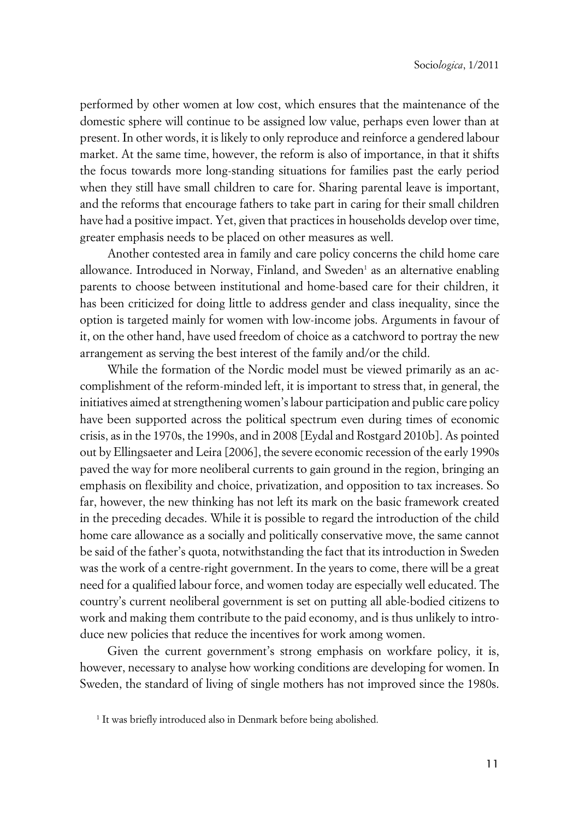performed by other women at low cost, which ensures that the maintenance of the domestic sphere will continue to be assigned low value, perhaps even lower than at present. In other words, it is likely to only reproduce and reinforce a gendered labour market. At the same time, however, the reform is also of importance, in that it shifts the focus towards more long-standing situations for families past the early period when they still have small children to care for. Sharing parental leave is important, and the reforms that encourage fathers to take part in caring for their small children have had a positive impact. Yet, given that practices in households develop over time, greater emphasis needs to be placed on other measures as well.

Another contested area in family and care policy concerns the child home care allowance. Introduced in Norway, Finland, and Sweden<sup>1</sup> as an alternative enabling parents to choose between institutional and home-based care for their children, it has been criticized for doing little to address gender and class inequality, since the option is targeted mainly for women with low-income jobs. Arguments in favour of it, on the other hand, have used freedom of choice as a catchword to portray the new arrangement as serving the best interest of the family and/or the child.

While the formation of the Nordic model must be viewed primarily as an accomplishment of the reform-minded left, it is important to stress that, in general, the initiatives aimed at strengthening women's labour participation and public care policy have been supported across the political spectrum even during times of economic crisis, as in the 1970s, the 1990s, and in 2008 [Eydal and Rostgard 2010b]. As pointed out by Ellingsaeter and Leira [2006], the severe economic recession of the early 1990s paved the way for more neoliberal currents to gain ground in the region, bringing an emphasis on flexibility and choice, privatization, and opposition to tax increases. So far, however, the new thinking has not left its mark on the basic framework created in the preceding decades. While it is possible to regard the introduction of the child home care allowance as a socially and politically conservative move, the same cannot be said of the father's quota, notwithstanding the fact that its introduction in Sweden was the work of a centre-right government. In the years to come, there will be a great need for a qualified labour force, and women today are especially well educated. The country's current neoliberal government is set on putting all able-bodied citizens to work and making them contribute to the paid economy, and is thus unlikely to introduce new policies that reduce the incentives for work among women.

Given the current government's strong emphasis on workfare policy, it is, however, necessary to analyse how working conditions are developing for women. In Sweden, the standard of living of single mothers has not improved since the 1980s.

<sup>&</sup>lt;sup>1</sup> It was briefly introduced also in Denmark before being abolished.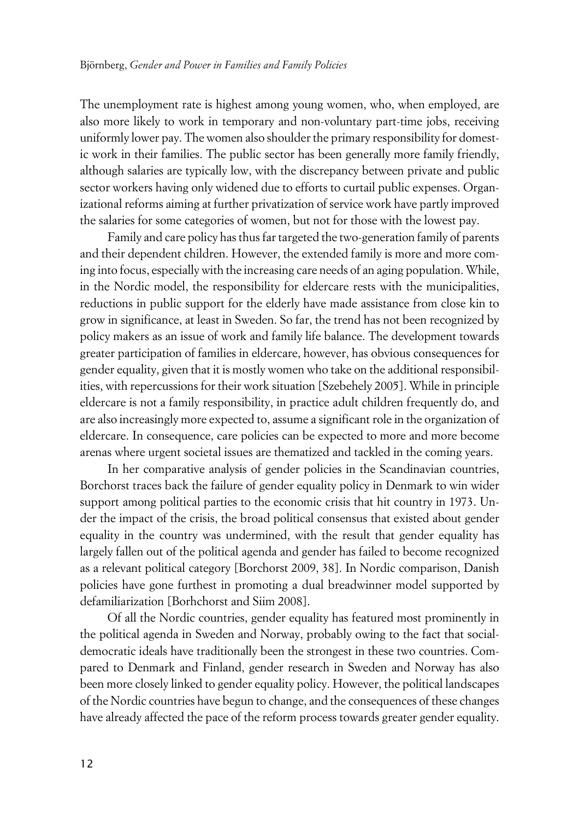The unemployment rate is highest among young women, who, when employed, are also more likely to work in temporary and non-voluntary part-time jobs, receiving uniformly lower pay. The women also shoulder the primary responsibility for domestic work in their families. The public sector has been generally more family friendly, although salaries are typically low, with the discrepancy between private and public sector workers having only widened due to efforts to curtail public expenses. Organizational reforms aiming at further privatization of service work have partly improved the salaries for some categories of women, but not for those with the lowest pay.

Family and care policy has thus far targeted the two-generation family of parents and their dependent children. However, the extended family is more and more coming into focus, especially with the increasing care needs of an aging population. While, in the Nordic model, the responsibility for eldercare rests with the municipalities, reductions in public support for the elderly have made assistance from close kin to grow in significance, at least in Sweden. So far, the trend has not been recognized by policy makers as an issue of work and family life balance. The development towards greater participation of families in eldercare, however, has obvious consequences for gender equality, given that it is mostly women who take on the additional responsibilities, with repercussions for their work situation [Szebehely 2005]. While in principle eldercare is not a family responsibility, in practice adult children frequently do, and are also increasingly more expected to, assume a significant role in the organization of eldercare. In consequence, care policies can be expected to more and more become arenas where urgent societal issues are thematized and tackled in the coming years.

In her comparative analysis of gender policies in the Scandinavian countries, Borchorst traces back the failure of gender equality policy in Denmark to win wider support among political parties to the economic crisis that hit country in 1973. Under the impact of the crisis, the broad political consensus that existed about gender equality in the country was undermined, with the result that gender equality has largely fallen out of the political agenda and gender has failed to become recognized as a relevant political category [Borchorst 2009, 38]. In Nordic comparison, Danish policies have gone furthest in promoting a dual breadwinner model supported by defamiliarization [Borhchorst and Siim 2008].

Of all the Nordic countries, gender equality has featured most prominently in the political agenda in Sweden and Norway, probably owing to the fact that socialdemocratic ideals have traditionally been the strongest in these two countries. Compared to Denmark and Finland, gender research in Sweden and Norway has also been more closely linked to gender equality policy. However, the political landscapes of the Nordic countries have begun to change, and the consequences of these changes have already affected the pace of the reform process towards greater gender equality.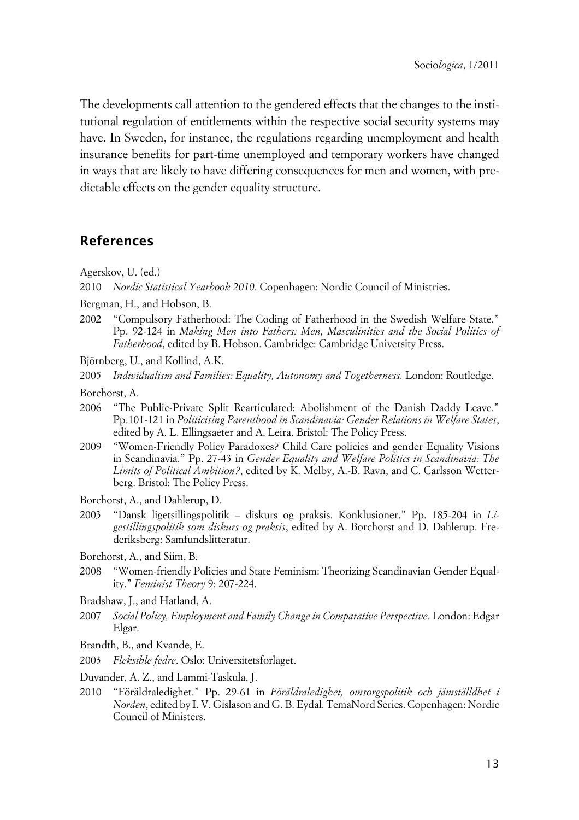The developments call attention to the gendered effects that the changes to the institutional regulation of entitlements within the respective social security systems may have. In Sweden, for instance, the regulations regarding unemployment and health insurance benefits for part-time unemployed and temporary workers have changed in ways that are likely to have differing consequences for men and women, with predictable effects on the gender equality structure.

## **References**

Agerskov, U. (ed.)

2010 *Nordic Statistical Yearbook 2010*. Copenhagen: Nordic Council of Ministries.

- Bergman, H., and Hobson, B.
- 2002 "Compulsory Fatherhood: The Coding of Fatherhood in the Swedish Welfare State." Pp. 92-124 in *Making Men into Fathers: Men, Masculinities and the Social Politics of Fatherhood*, edited by B. Hobson. Cambridge: Cambridge University Press.
- Björnberg, U., and Kollind, A.K.

2005 *Individualism and Families: Equality, Autonomy and Togetherness.* London: Routledge.

Borchorst, A.

- 2006 "The Public-Private Split Rearticulated: Abolishment of the Danish Daddy Leave." Pp.101-121 in *Politicising Parenthood in Scandinavia: Gender Relations in Welfare States*, edited by A. L. Ellingsaeter and A. Leira. Bristol: The Policy Press.
- 2009 "Women-Friendly Policy Paradoxes? Child Care policies and gender Equality Visions in Scandinavia." Pp. 27-43 in *Gender Equality and Welfare Politics in Scandinavia: The Limits of Political Ambition?*, edited by K. Melby, A.-B. Ravn, and C. Carlsson Wetterberg. Bristol: The Policy Press.
- Borchorst, A., and Dahlerup, D.
- 2003 "Dansk ligetsillingspolitik diskurs og praksis. Konklusioner." Pp. 185-204 in *Ligestillingspolitik som diskurs og praksis*, edited by A. Borchorst and D. Dahlerup. Frederiksberg: Samfundslitteratur.
- Borchorst, A., and Siim, B.
- 2008 "Women-friendly Policies and State Feminism: Theorizing Scandinavian Gender Equality." *Feminist Theory* 9: 207-224.
- Bradshaw, J., and Hatland, A.
- 2007 *Social Policy, Employment and Family Change in Comparative Perspective*. London: Edgar Elgar.
- Brandth, B., and Kvande, E.
- 2003 *Fleksible fedre*. Oslo: Universitetsforlaget.

Duvander, A. Z., and Lammi-Taskula, J.

2010 "Föräldraledighet." Pp. 29-61 in *Föräldraledighet, omsorgspolitik och jämställdhet i Norden*, edited by I. V. Gislason and G. B. Eydal. TemaNord Series. Copenhagen: Nordic Council of Ministers.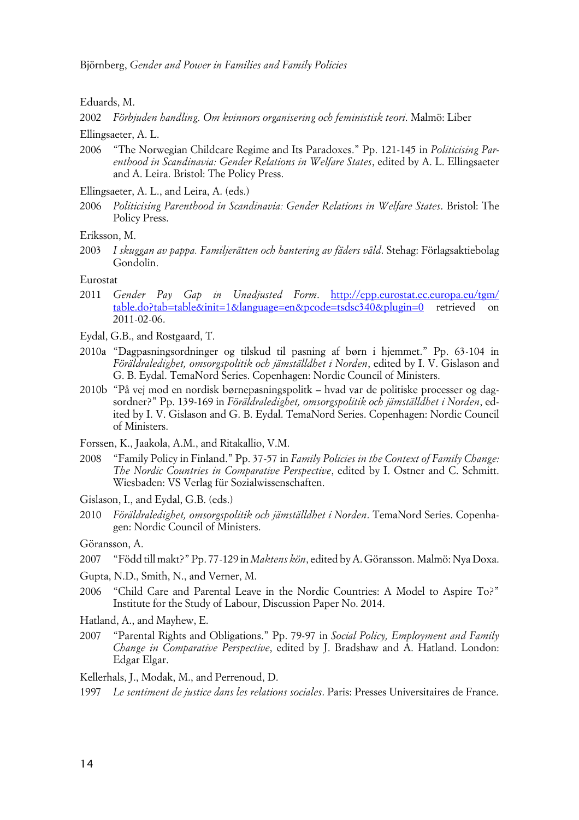Eduards, M.

2002 *Förbjuden handling. Om kvinnors organisering och feministisk teori*. Malmö: Liber

Ellingsaeter, A. L.

2006 "The Norwegian Childcare Regime and Its Paradoxes." Pp. 121-145 in *Politicising Parenthood in Scandinavia: Gender Relations in Welfare States*, edited by A. L. Ellingsaeter and A. Leira. Bristol: The Policy Press.

Ellingsaeter, A. L., and Leira, A. (eds.)

- 2006 *Politicising Parenthood in Scandinavia: Gender Relations in Welfare States*. Bristol: The Policy Press.
- Eriksson, M.
- 2003 *I skuggan av pappa. Familjerätten och hantering av fäders våld*. Stehag: Förlagsaktiebolag Gondolin.

#### Eurostat

- 2011 *Gender Pay Gap in Unadjusted Form*. [http://epp.eurostat.ec.europa.eu/tgm/](http://epp.eurostat.ec.europa.eu/tgm/table.do?tab=?table&init=??1&language=??en&pcode=??tsdsc340&plugin=??0?) [table.do?tab=table&init=1&language=en&pcode=tsdsc340&plugin=0](http://epp.eurostat.ec.europa.eu/tgm/table.do?tab=?table&init=??1&language=??en&pcode=??tsdsc340&plugin=??0?) retrieved on 2011-02-06.
- Eydal, G.B., and Rostgaard, T.
- 2010a "Dagpasningsordninger og tilskud til pasning af børn i hjemmet." Pp. 63-104 in *Föräldraledighet, omsorgspolitik och jämställdhet i Norden*, edited by I. V. Gislason and G. B. Eydal. TemaNord Series. Copenhagen: Nordic Council of Ministers.
- 2010b "På vej mod en nordisk børnepasningspolitk hvad var de politiske processer og dagsordner?" Pp. 139-169 in *Föräldraledighet, omsorgspolitik och jämställdhet i Norden*, edited by I. V. Gislason and G. B. Eydal. TemaNord Series. Copenhagen: Nordic Council of Ministers.

Forssen, K., Jaakola, A.M., and Ritakallio, V.M.

- 2008 "Family Policy in Finland." Pp. 37-57 in *Family Policies in the Context of Family Change: The Nordic Countries in Comparative Perspective*, edited by I. Ostner and C. Schmitt. Wiesbaden: VS Verlag für Sozialwissenschaften.
- Gislason, I., and Eydal, G.B. (eds.)
- 2010 *Föräldraledighet, omsorgspolitik och jämställdhet i Norden*. TemaNord Series. Copenhagen: Nordic Council of Ministers.

Göransson, A.

- 2007 "Född till makt?" Pp. 77-129 in *Maktens kön*, edited by A. Göransson. Malmö: Nya Doxa.
- Gupta, N.D., Smith, N., and Verner, M.
- 2006 "Child Care and Parental Leave in the Nordic Countries: A Model to Aspire To?" Institute for the Study of Labour, Discussion Paper No. 2014.

Hatland, A., and Mayhew, E.

2007 "Parental Rights and Obligations." Pp. 79-97 in *Social Policy, Employment and Family Change in Comparative Perspective*, edited by J. Bradshaw and A. Hatland. London: Edgar Elgar.

Kellerhals, J., Modak, M., and Perrenoud, D.

1997 *Le sentiment de justice dans les relations sociales*. Paris: Presses Universitaires de France.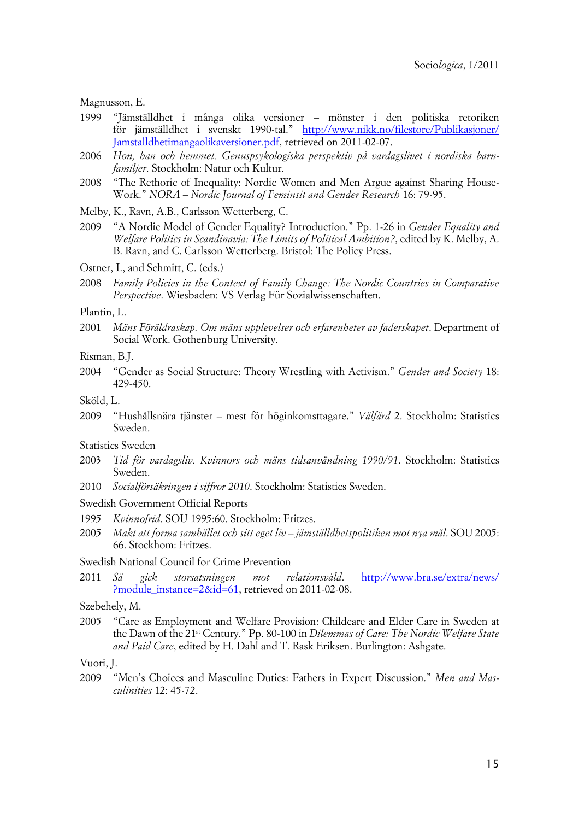Magnusson, E.

- 1999 "Jämställdhet i många olika versioner mönster i den politiska retoriken för jämställdhet i svenskt 1990-tal." [http://www.nikk.no/filestore/Publikasjoner/](http://www.nikk.no/filestore/Publikasjoner/Jamstalldhetimangaolikaversioner.pdf) [Jamstalldhetimangaolikaversioner.pdf](http://www.nikk.no/filestore/Publikasjoner/Jamstalldhetimangaolikaversioner.pdf), retrieved on 2011-02-07.
- 2006 *Hon, han och hemmet. Genuspsykologiska perspektiv på vardagslivet i nordiska barnfamiljer*. Stockholm: Natur och Kultur.
- 2008 "The Rethoric of Inequality: Nordic Women and Men Argue against Sharing House-Work." *NORA – Nordic Journal of Feminsit and Gender Research* 16: 79-95.
- Melby, K., Ravn, A.B., Carlsson Wetterberg, C.
- 2009 "A Nordic Model of Gender Equality? Introduction." Pp. 1-26 in *Gender Equality and Welfare Politics in Scandinavia: The Limits of Political Ambition?*, edited by K. Melby, A. B. Ravn, and C. Carlsson Wetterberg. Bristol: The Policy Press.

Ostner, I., and Schmitt, C. (eds.)

2008 *Family Policies in the Context of Family Change: The Nordic Countries in Comparative Perspective*. Wiesbaden: VS Verlag Für Sozialwissenschaften.

#### Plantin, L.

2001 *Mäns Föräldraskap. Om mäns upplevelser och erfarenheter av faderskapet*. Department of Social Work. Gothenburg University.

Risman, B.J.

2004 "Gender as Social Structure: Theory Wrestling with Activism." *Gender and Society* 18: 429-450.

Sköld, L.

2009 "Hushållsnära tjänster – mest för höginkomsttagare." *Välfärd* 2. Stockholm: Statistics Sweden.

Statistics Sweden

- 2003 *Tid för vardagsliv. Kvinnors och mäns tidsanvändning 1990/91*. Stockholm: Statistics Sweden.
- 2010 *Socialförsäkringen i siffror 2010*. Stockholm: Statistics Sweden.

Swedish Government Official Reports

- 1995 *Kvinnofrid*. SOU 1995:60. Stockholm: Fritzes.
- 2005 *Makt att forma samhället och sitt eget liv jämställdhetspolitiken mot nya mål*. SOU 2005: 66. Stockhom: Fritzes.

Swedish National Council for Crime Prevention

2011 *Så gick storsatsningen mot relationsvåld*. [http://www.bra.se/extra/news/](http://www.bra.se/extra/news/?module_instance=?2&id=??61?) [?module\\_instance=2&id=61](http://www.bra.se/extra/news/?module_instance=?2&id=??61?), retrieved on 2011-02-08.

#### Szebehely, M.

2005 "Care as Employment and Welfare Provision: Childcare and Elder Care in Sweden at the Dawn of the 21st Century." Pp. 80-100 in *Dilemmas of Care: The Nordic Welfare State and Paid Care*, edited by H. Dahl and T. Rask Eriksen. Burlington: Ashgate.

Vuori, J.

2009 "Men's Choices and Masculine Duties: Fathers in Expert Discussion." *Men and Masculinities* 12: 45-72.